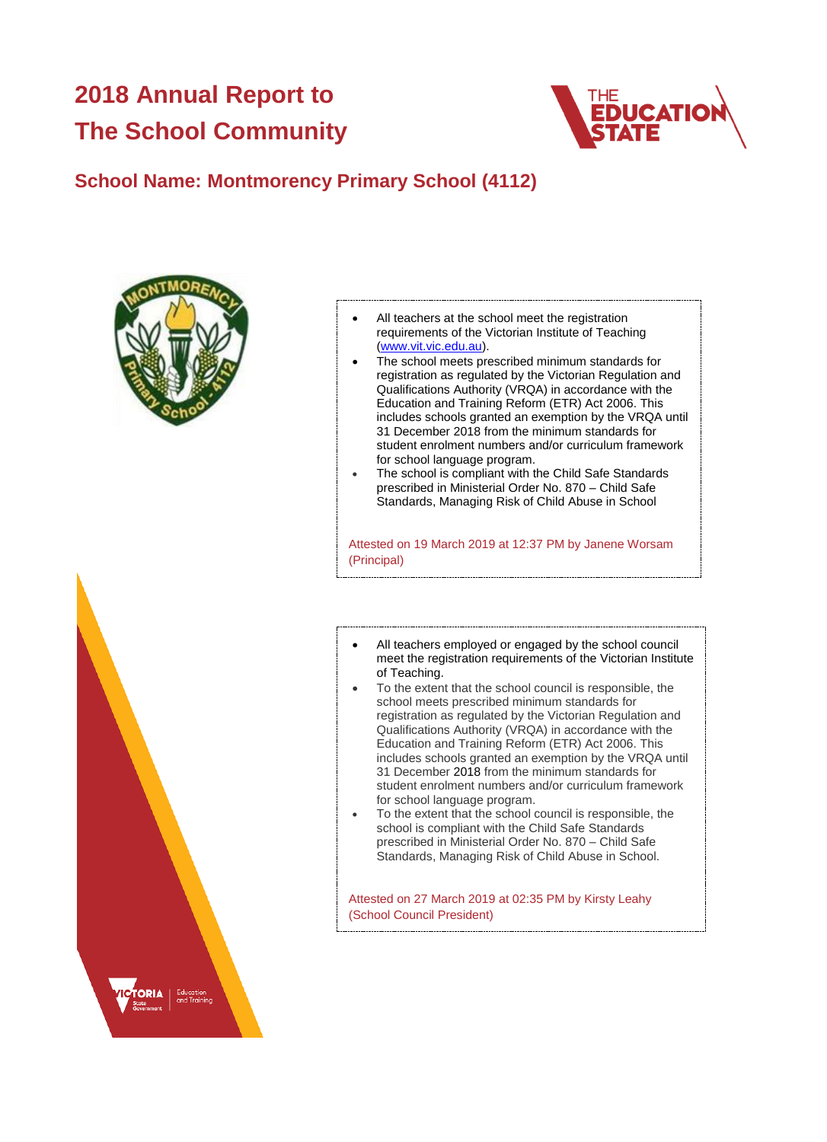# **2018 Annual Report to The School Community**



## **School Name: Montmorency Primary School (4112)**



- All teachers at the school meet the registration requirements of the Victorian Institute of Teaching [\(www.vit.vic.edu.au\)](https://www.vit.vic.edu.au/).
- The school meets prescribed minimum standards for registration as regulated by the Victorian Regulation and Qualifications Authority (VRQA) in accordance with the Education and Training Reform (ETR) Act 2006. This includes schools granted an exemption by the VRQA until 31 December 2018 from the minimum standards for student enrolment numbers and/or curriculum framework for school language program.
- The school is compliant with the Child Safe Standards prescribed in Ministerial Order No. 870 – Child Safe Standards, Managing Risk of Child Abuse in School

Attested on 19 March 2019 at 12:37 PM by Janene Worsam (Principal)

- All teachers employed or engaged by the school council meet the registration requirements of the Victorian Institute of Teaching.
- To the extent that the school council is responsible, the school meets prescribed minimum standards for registration as regulated by the Victorian Regulation and Qualifications Authority (VRQA) in accordance with the Education and Training Reform (ETR) Act 2006. This includes schools granted an exemption by the VRQA until 31 December 2018 from the minimum standards for student enrolment numbers and/or curriculum framework for school language program.
- To the extent that the school council is responsible, the school is compliant with the Child Safe Standards prescribed in Ministerial Order No. 870 – Child Safe Standards, Managing Risk of Child Abuse in School.

Attested on 27 March 2019 at 02:35 PM by Kirsty Leahy (School Council President)

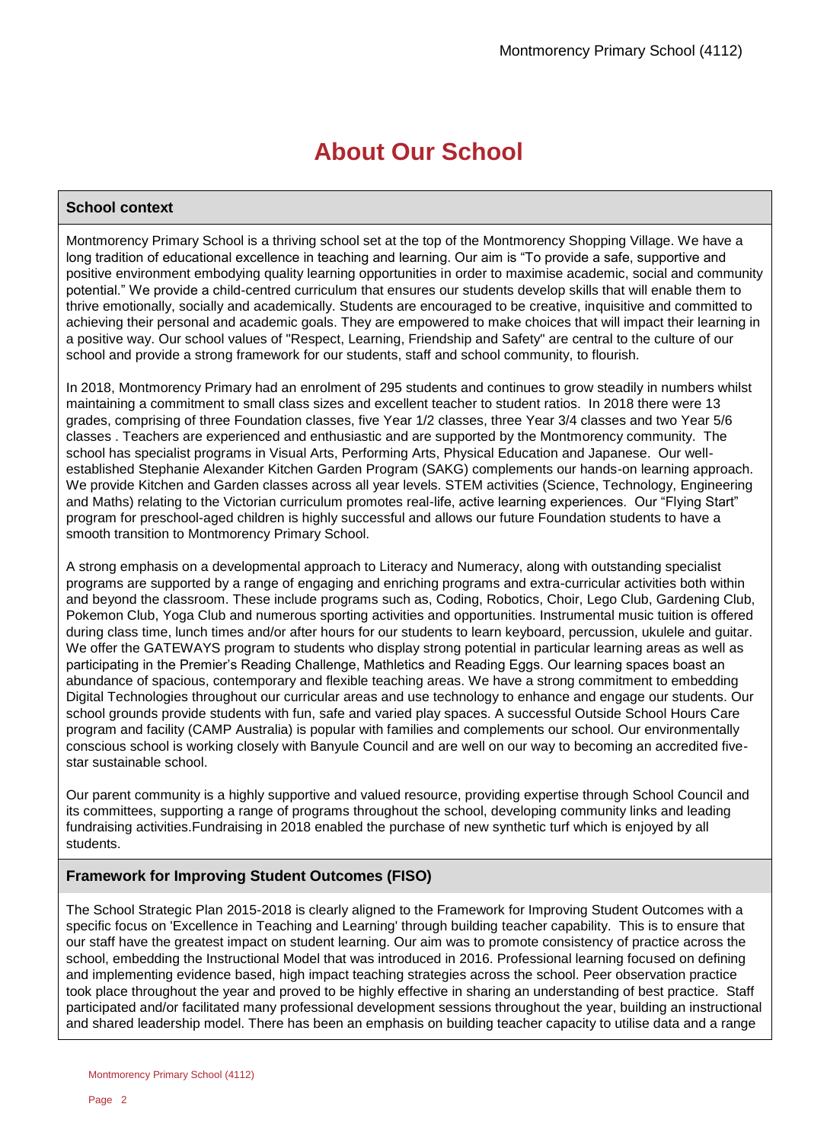# **About Our School**

### **School context**

Montmorency Primary School is a thriving school set at the top of the Montmorency Shopping Village. We have a long tradition of educational excellence in teaching and learning. Our aim is "To provide a safe, supportive and positive environment embodying quality learning opportunities in order to maximise academic, social and community potential." We provide a child-centred curriculum that ensures our students develop skills that will enable them to thrive emotionally, socially and academically. Students are encouraged to be creative, inquisitive and committed to achieving their personal and academic goals. They are empowered to make choices that will impact their learning in a positive way. Our school values of "Respect, Learning, Friendship and Safety" are central to the culture of our school and provide a strong framework for our students, staff and school community, to flourish.

In 2018, Montmorency Primary had an enrolment of 295 students and continues to grow steadily in numbers whilst maintaining a commitment to small class sizes and excellent teacher to student ratios. In 2018 there were 13 grades, comprising of three Foundation classes, five Year 1/2 classes, three Year 3/4 classes and two Year 5/6 classes . Teachers are experienced and enthusiastic and are supported by the Montmorency community. The school has specialist programs in Visual Arts, Performing Arts, Physical Education and Japanese. Our wellestablished Stephanie Alexander Kitchen Garden Program (SAKG) complements our hands-on learning approach. We provide Kitchen and Garden classes across all year levels. STEM activities (Science, Technology, Engineering and Maths) relating to the Victorian curriculum promotes real-life, active learning experiences. Our "Flying Start" program for preschool-aged children is highly successful and allows our future Foundation students to have a smooth transition to Montmorency Primary School.

A strong emphasis on a developmental approach to Literacy and Numeracy, along with outstanding specialist programs are supported by a range of engaging and enriching programs and extra-curricular activities both within and beyond the classroom. These include programs such as, Coding, Robotics, Choir, Lego Club, Gardening Club, Pokemon Club, Yoga Club and numerous sporting activities and opportunities. Instrumental music tuition is offered during class time, lunch times and/or after hours for our students to learn keyboard, percussion, ukulele and guitar. We offer the GATEWAYS program to students who display strong potential in particular learning areas as well as participating in the Premier's Reading Challenge, Mathletics and Reading Eggs. Our learning spaces boast an abundance of spacious, contemporary and flexible teaching areas. We have a strong commitment to embedding Digital Technologies throughout our curricular areas and use technology to enhance and engage our students. Our school grounds provide students with fun, safe and varied play spaces. A successful Outside School Hours Care program and facility (CAMP Australia) is popular with families and complements our school. Our environmentally conscious school is working closely with Banyule Council and are well on our way to becoming an accredited fivestar sustainable school.

Our parent community is a highly supportive and valued resource, providing expertise through School Council and its committees, supporting a range of programs throughout the school, developing community links and leading fundraising activities.Fundraising in 2018 enabled the purchase of new synthetic turf which is enjoyed by all students.

### **Framework for Improving Student Outcomes (FISO)**

The School Strategic Plan 2015-2018 is clearly aligned to the Framework for Improving Student Outcomes with a specific focus on 'Excellence in Teaching and Learning' through building teacher capability. This is to ensure that our staff have the greatest impact on student learning. Our aim was to promote consistency of practice across the school, embedding the Instructional Model that was introduced in 2016. Professional learning focused on defining and implementing evidence based, high impact teaching strategies across the school. Peer observation practice took place throughout the year and proved to be highly effective in sharing an understanding of best practice. Staff participated and/or facilitated many professional development sessions throughout the year, building an instructional and shared leadership model. There has been an emphasis on building teacher capacity to utilise data and a range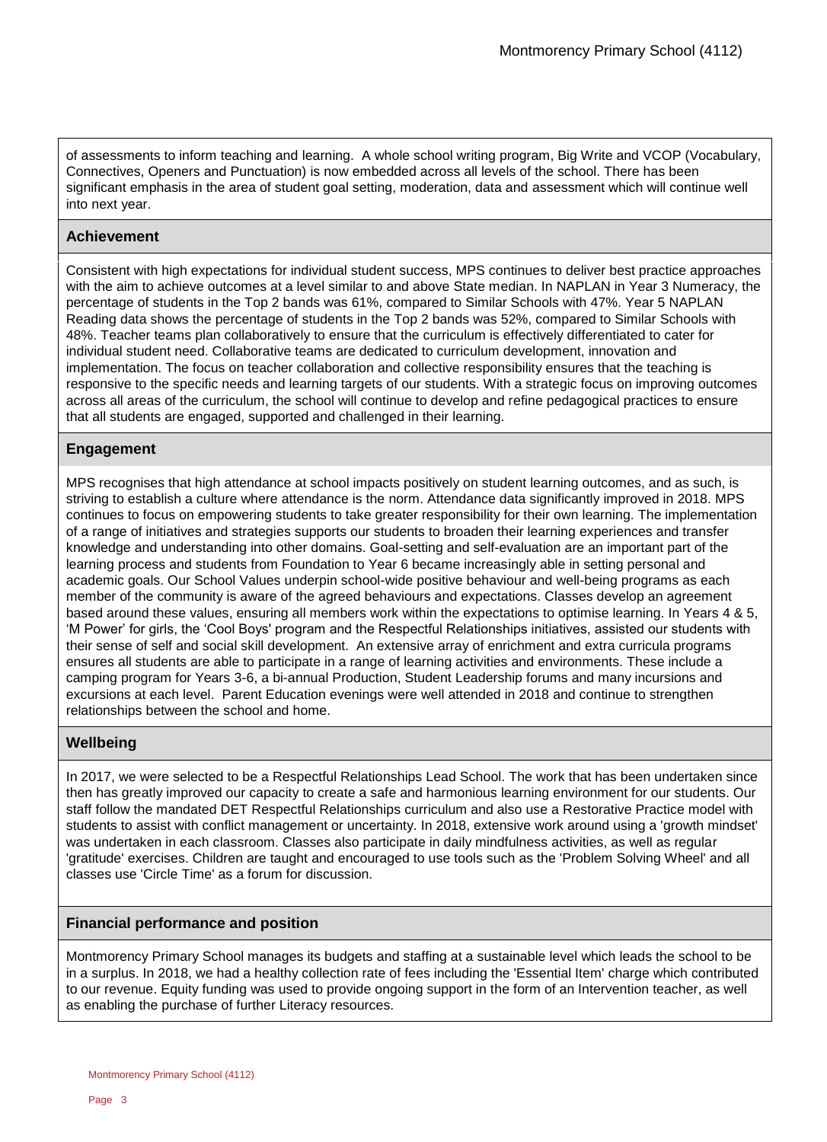of assessments to inform teaching and learning. A whole school writing program, Big Write and VCOP (Vocabulary, Connectives, Openers and Punctuation) is now embedded across all levels of the school. There has been significant emphasis in the area of student goal setting, moderation, data and assessment which will continue well into next year.

### **Achievement**

Consistent with high expectations for individual student success, MPS continues to deliver best practice approaches with the aim to achieve outcomes at a level similar to and above State median. In NAPLAN in Year 3 Numeracy, the percentage of students in the Top 2 bands was 61%, compared to Similar Schools with 47%. Year 5 NAPLAN Reading data shows the percentage of students in the Top 2 bands was 52%, compared to Similar Schools with 48%. Teacher teams plan collaboratively to ensure that the curriculum is effectively differentiated to cater for individual student need. Collaborative teams are dedicated to curriculum development, innovation and implementation. The focus on teacher collaboration and collective responsibility ensures that the teaching is responsive to the specific needs and learning targets of our students. With a strategic focus on improving outcomes across all areas of the curriculum, the school will continue to develop and refine pedagogical practices to ensure that all students are engaged, supported and challenged in their learning.

### **Engagement**

MPS recognises that high attendance at school impacts positively on student learning outcomes, and as such, is striving to establish a culture where attendance is the norm. Attendance data significantly improved in 2018. MPS continues to focus on empowering students to take greater responsibility for their own learning. The implementation of a range of initiatives and strategies supports our students to broaden their learning experiences and transfer knowledge and understanding into other domains. Goal-setting and self-evaluation are an important part of the learning process and students from Foundation to Year 6 became increasingly able in setting personal and academic goals. Our School Values underpin school-wide positive behaviour and well-being programs as each member of the community is aware of the agreed behaviours and expectations. Classes develop an agreement based around these values, ensuring all members work within the expectations to optimise learning. In Years 4 & 5, 'M Power' for girls, the 'Cool Boys' program and the Respectful Relationships initiatives, assisted our students with their sense of self and social skill development. An extensive array of enrichment and extra curricula programs ensures all students are able to participate in a range of learning activities and environments. These include a camping program for Years 3-6, a bi-annual Production, Student Leadership forums and many incursions and excursions at each level. Parent Education evenings were well attended in 2018 and continue to strengthen relationships between the school and home.

### **Wellbeing**

In 2017, we were selected to be a Respectful Relationships Lead School. The work that has been undertaken since then has greatly improved our capacity to create a safe and harmonious learning environment for our students. Our staff follow the mandated DET Respectful Relationships curriculum and also use a Restorative Practice model with students to assist with conflict management or uncertainty. In 2018, extensive work around using a 'growth mindset' was undertaken in each classroom. Classes also participate in daily mindfulness activities, as well as regular 'gratitude' exercises. Children are taught and encouraged to use tools such as the 'Problem Solving Wheel' and all classes use 'Circle Time' as a forum for discussion.

### **Financial performance and position**

Montmorency Primary School manages its budgets and staffing at a sustainable level which leads the school to be in a surplus. In 2018, we had a healthy collection rate of fees including the 'Essential Item' charge which contributed to our revenue. Equity funding was used to provide ongoing support in the form of an Intervention teacher, as well as enabling the purchase of further Literacy resources.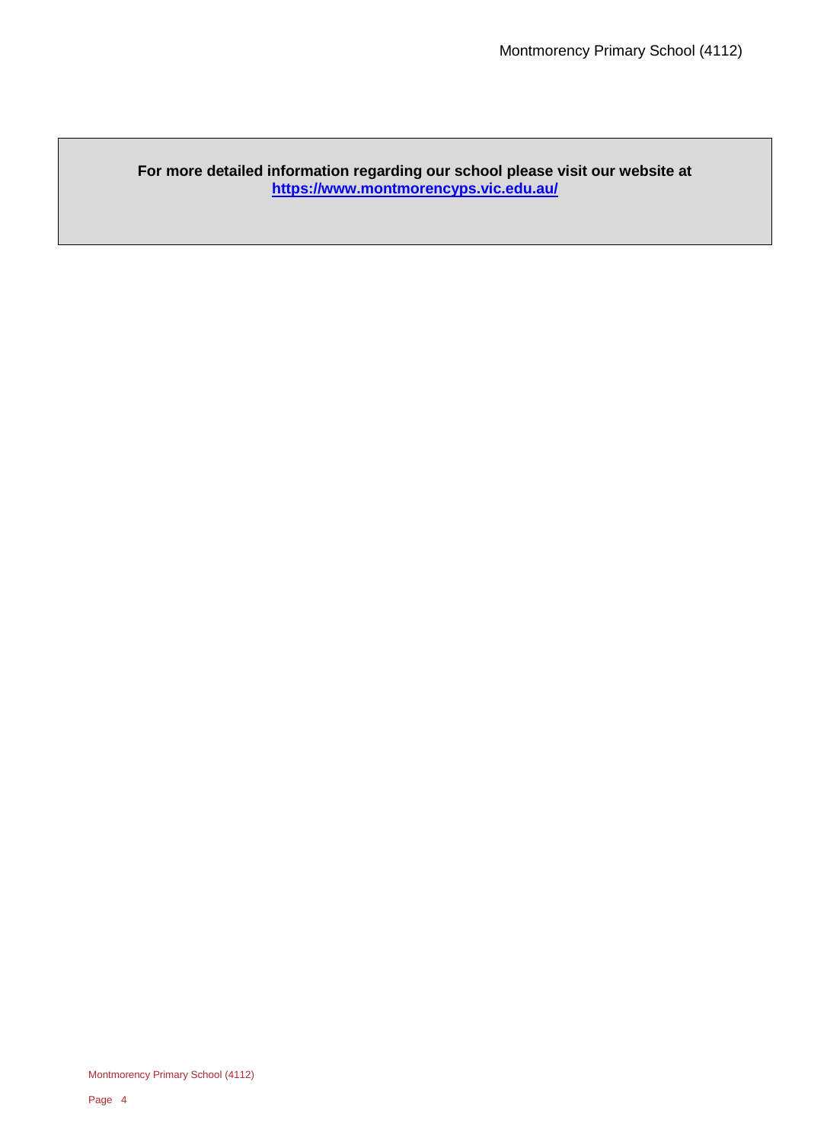### **For more detailed information regarding our school please visit our website at <https://www.montmorencyps.vic.edu.au/>**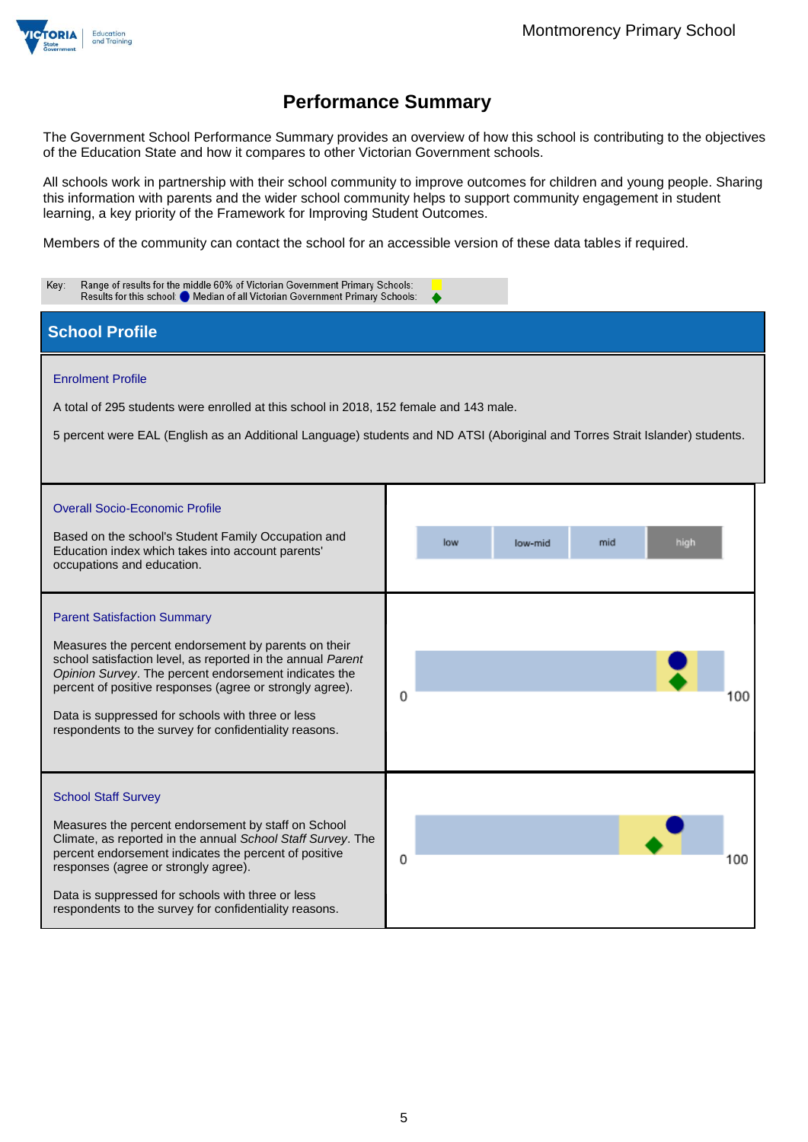

The Government School Performance Summary provides an overview of how this school is contributing to the objectives of the Education State and how it compares to other Victorian Government schools.

All schools work in partnership with their school community to improve outcomes for children and young people. Sharing this information with parents and the wider school community helps to support community engagement in student learning, a key priority of the Framework for Improving Student Outcomes.

Members of the community can contact the school for an accessible version of these data tables if required.

| Range of results for the middle 60% of Victorian Government Primary Schools:<br>Key:<br>Results for this school: O Median of all Victorian Government Primary Schools:                                                                                                                                                                                                                        |                               |  |  |  |  |
|-----------------------------------------------------------------------------------------------------------------------------------------------------------------------------------------------------------------------------------------------------------------------------------------------------------------------------------------------------------------------------------------------|-------------------------------|--|--|--|--|
| <b>School Profile</b>                                                                                                                                                                                                                                                                                                                                                                         |                               |  |  |  |  |
| <b>Enrolment Profile</b><br>A total of 295 students were enrolled at this school in 2018, 152 female and 143 male.<br>5 percent were EAL (English as an Additional Language) students and ND ATSI (Aboriginal and Torres Strait Islander) students.                                                                                                                                           |                               |  |  |  |  |
| <b>Overall Socio-Economic Profile</b><br>Based on the school's Student Family Occupation and<br>Education index which takes into account parents'<br>occupations and education.                                                                                                                                                                                                               | low<br>mid<br>high<br>low-mid |  |  |  |  |
| <b>Parent Satisfaction Summary</b><br>Measures the percent endorsement by parents on their<br>school satisfaction level, as reported in the annual Parent<br>Opinion Survey. The percent endorsement indicates the<br>percent of positive responses (agree or strongly agree).<br>Data is suppressed for schools with three or less<br>respondents to the survey for confidentiality reasons. | 0<br>100                      |  |  |  |  |
| <b>School Staff Survey</b><br>Measures the percent endorsement by staff on School<br>Climate, as reported in the annual School Staff Survey. The<br>percent endorsement indicates the percent of positive<br>responses (agree or strongly agree).<br>Data is suppressed for schools with three or less<br>respondents to the survey for confidentiality reasons.                              | 0<br>100                      |  |  |  |  |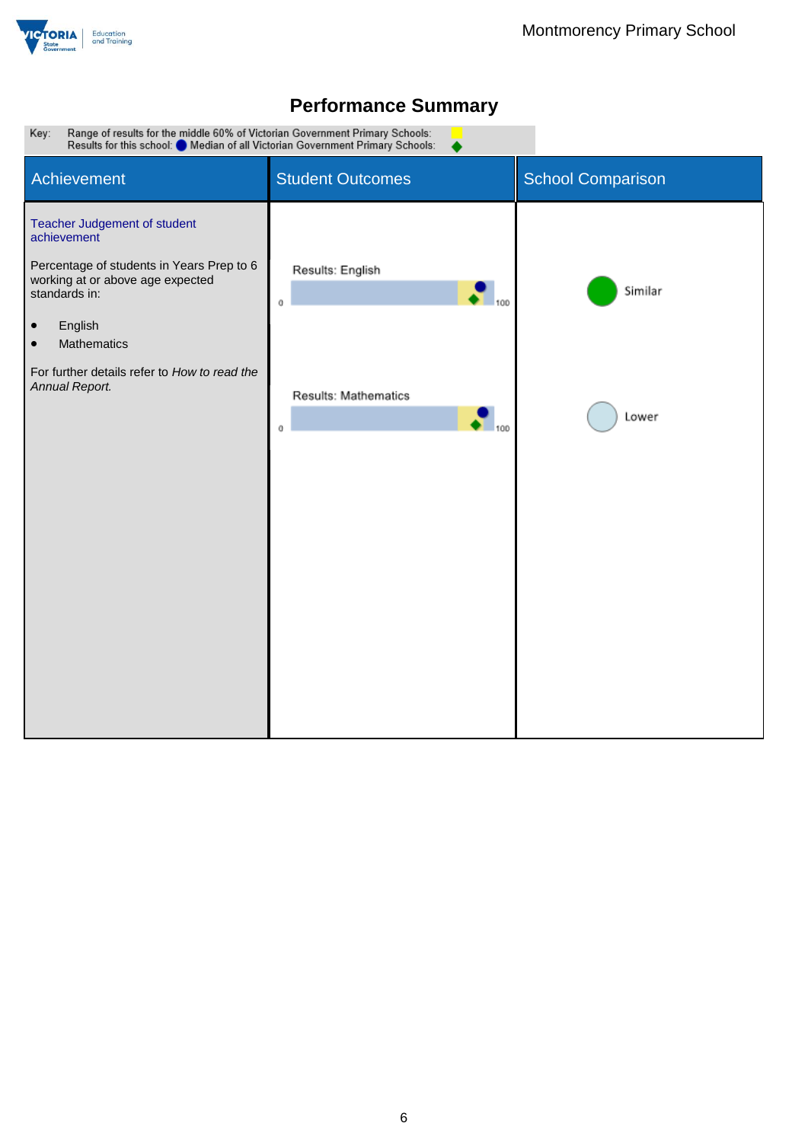



▲

Range of results for the middle 60% of Victorian Government Primary Schools:<br>Results for this school: O Median of all Victorian Government Primary Schools: Key:

| Achievement                                                                                                                                                                                                                                                         | <b>Student Outcomes</b>                                                            | <b>School Comparison</b> |
|---------------------------------------------------------------------------------------------------------------------------------------------------------------------------------------------------------------------------------------------------------------------|------------------------------------------------------------------------------------|--------------------------|
| Teacher Judgement of student<br>achievement<br>Percentage of students in Years Prep to 6<br>working at or above age expected<br>standards in:<br>English<br>$\bullet$<br>Mathematics<br>$\bullet$<br>For further details refer to How to read the<br>Annual Report. | Results: English<br>0<br>Results: Mathematics<br>$\overline{\phantom{0}}$ 100<br>0 | Similar<br>Lower         |
|                                                                                                                                                                                                                                                                     |                                                                                    |                          |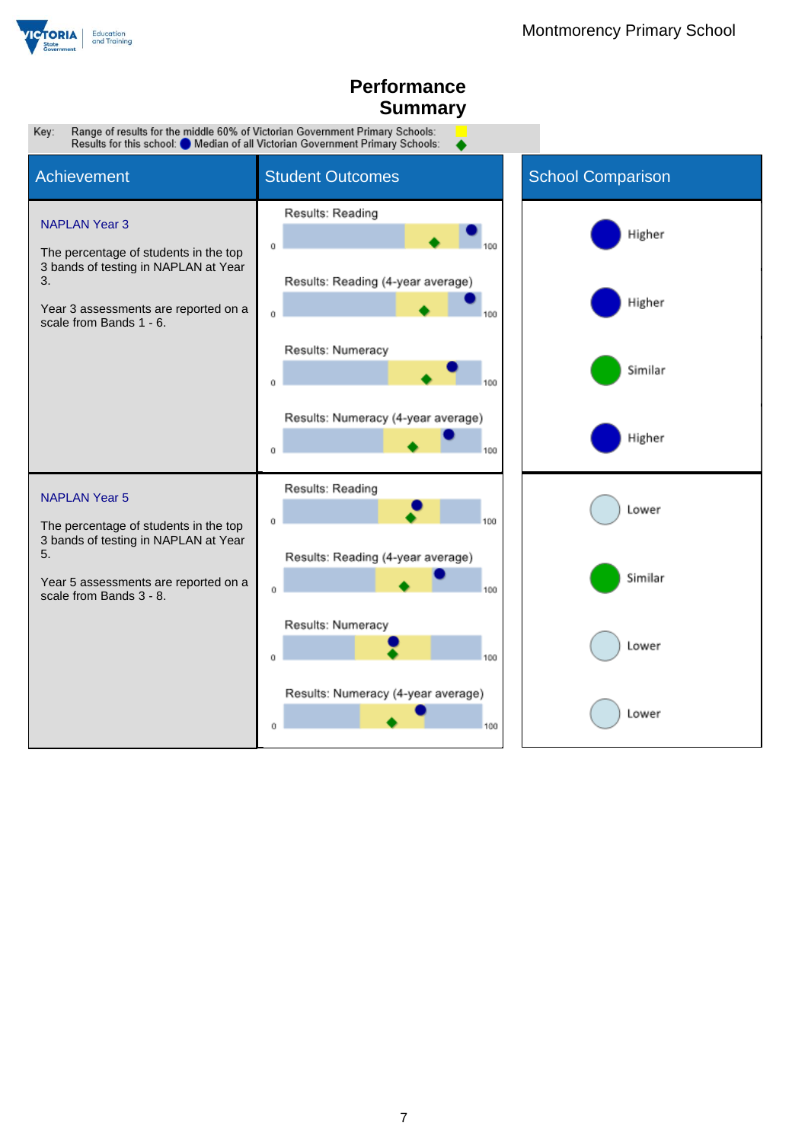

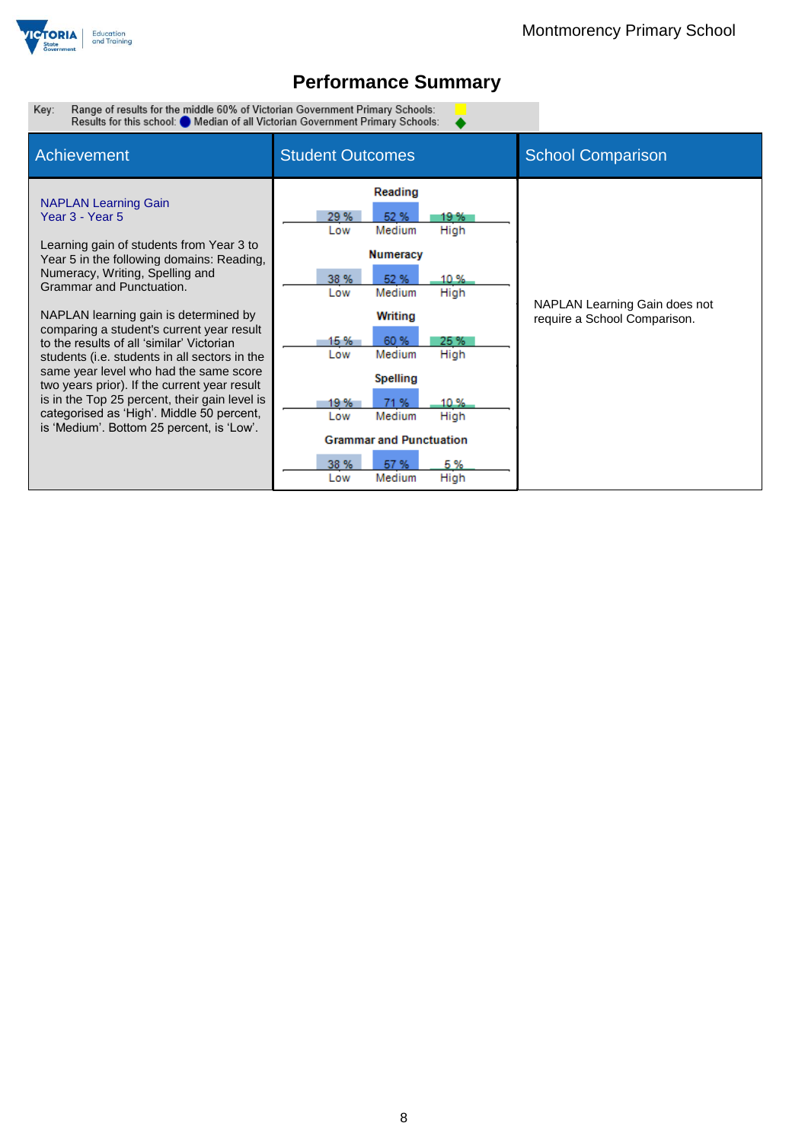

 $\bullet$ 

Range of results for the middle 60% of Victorian Government Primary Schools:<br>Results for this school: O Median of all Victorian Government Primary Schools: Key:

| Achievement                                                                                                                                                                                                                                                                                                                                                                                                                                                                                                                                                                                                                     | <b>Student Outcomes</b>                                                                                                                                                                                                                                                                                                               | <b>School Comparison</b>                                      |
|---------------------------------------------------------------------------------------------------------------------------------------------------------------------------------------------------------------------------------------------------------------------------------------------------------------------------------------------------------------------------------------------------------------------------------------------------------------------------------------------------------------------------------------------------------------------------------------------------------------------------------|---------------------------------------------------------------------------------------------------------------------------------------------------------------------------------------------------------------------------------------------------------------------------------------------------------------------------------------|---------------------------------------------------------------|
| <b>NAPLAN Learning Gain</b><br>Year 3 - Year 5<br>Learning gain of students from Year 3 to<br>Year 5 in the following domains: Reading,<br>Numeracy, Writing, Spelling and<br>Grammar and Punctuation.<br>NAPLAN learning gain is determined by<br>comparing a student's current year result<br>to the results of all 'similar' Victorian<br>students (i.e. students in all sectors in the<br>same year level who had the same score<br>two years prior). If the current year result<br>is in the Top 25 percent, their gain level is<br>categorised as 'High'. Middle 50 percent,<br>is 'Medium'. Bottom 25 percent, is 'Low'. | Reading<br>29 %<br>52 %<br>19 %<br>Medium<br>High<br>Low<br><b>Numeracy</b><br>38 %<br>52 %<br>10 %<br>Medium<br>High<br>Low<br>Writing<br>15 %<br>60 %<br>25 %<br>Medium<br>High<br>Low<br>Spelling<br>71 %<br>10%<br>19 %<br>High<br>Medium<br>Low<br><b>Grammar and Punctuation</b><br>38 %<br>57 %<br>5%<br>High<br>Medium<br>Low | NAPLAN Learning Gain does not<br>require a School Comparison. |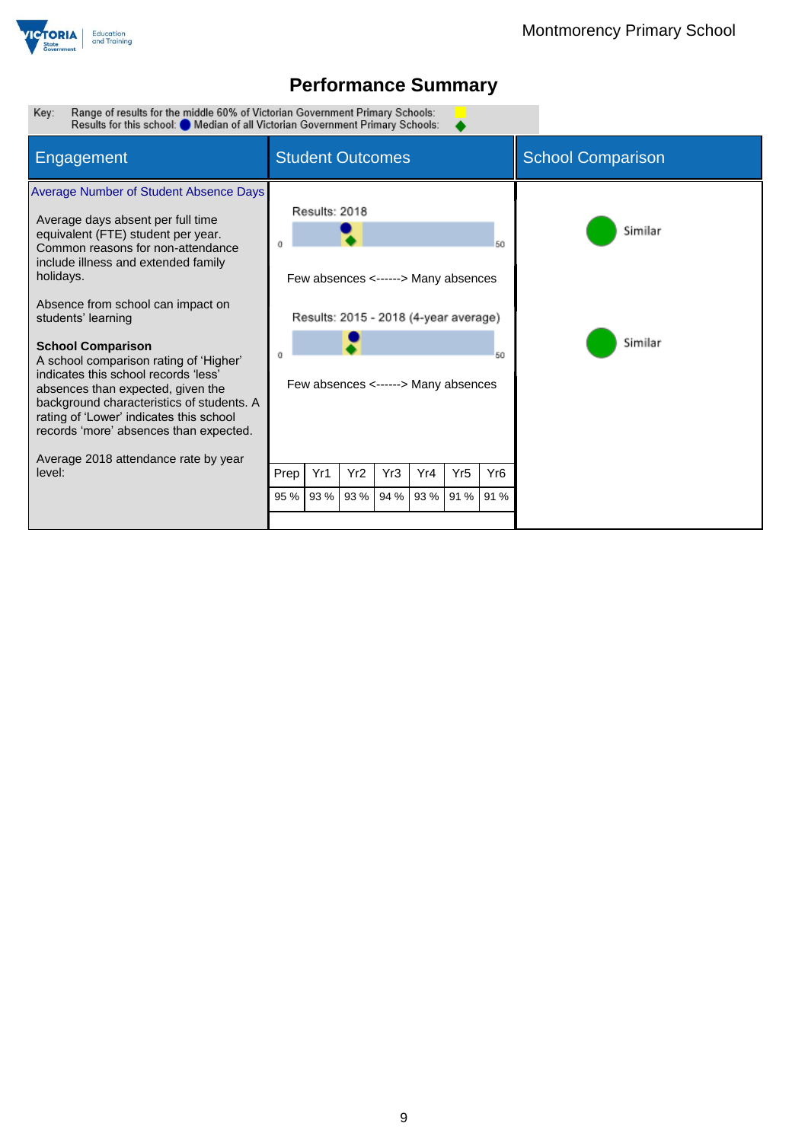

Range of results for the middle 60% of Victorian Government Primary Schools:<br>Results for this school: O Median of all Victorian Government Primary Schools: Key:

| Engagement                                                                                                                                                                                                                                                                                              | <b>Student Outcomes</b>                                                                                                                                                  |  |  |  |                    |  | <b>School Comparison</b> |
|---------------------------------------------------------------------------------------------------------------------------------------------------------------------------------------------------------------------------------------------------------------------------------------------------------|--------------------------------------------------------------------------------------------------------------------------------------------------------------------------|--|--|--|--------------------|--|--------------------------|
| Average Number of Student Absence Days<br>Average days absent per full time<br>equivalent (FTE) student per year.<br>Common reasons for non-attendance<br>include illness and extended family<br>holidays.<br>Absence from school can impact on<br>students' learning<br><b>School Comparison</b>       | Results: 2018<br>50<br>Few absences <------> Many absences<br>Results: 2015 - 2018 (4-year average)                                                                      |  |  |  | Similar<br>Similar |  |                          |
| A school comparison rating of 'Higher'<br>indicates this school records 'less'<br>absences than expected, given the<br>background characteristics of students. A<br>rating of 'Lower' indicates this school<br>records 'more' absences than expected.<br>Average 2018 attendance rate by year<br>level: | 50<br>Few absences <------> Many absences<br>Yr1<br>Yr <sub>2</sub><br>Yr4<br>Yr5<br>Yr <sub>6</sub><br>Yr3<br>Prep<br>93 %<br>93 %<br>93 %<br>94 %<br>91 % 91 %<br>95 % |  |  |  |                    |  |                          |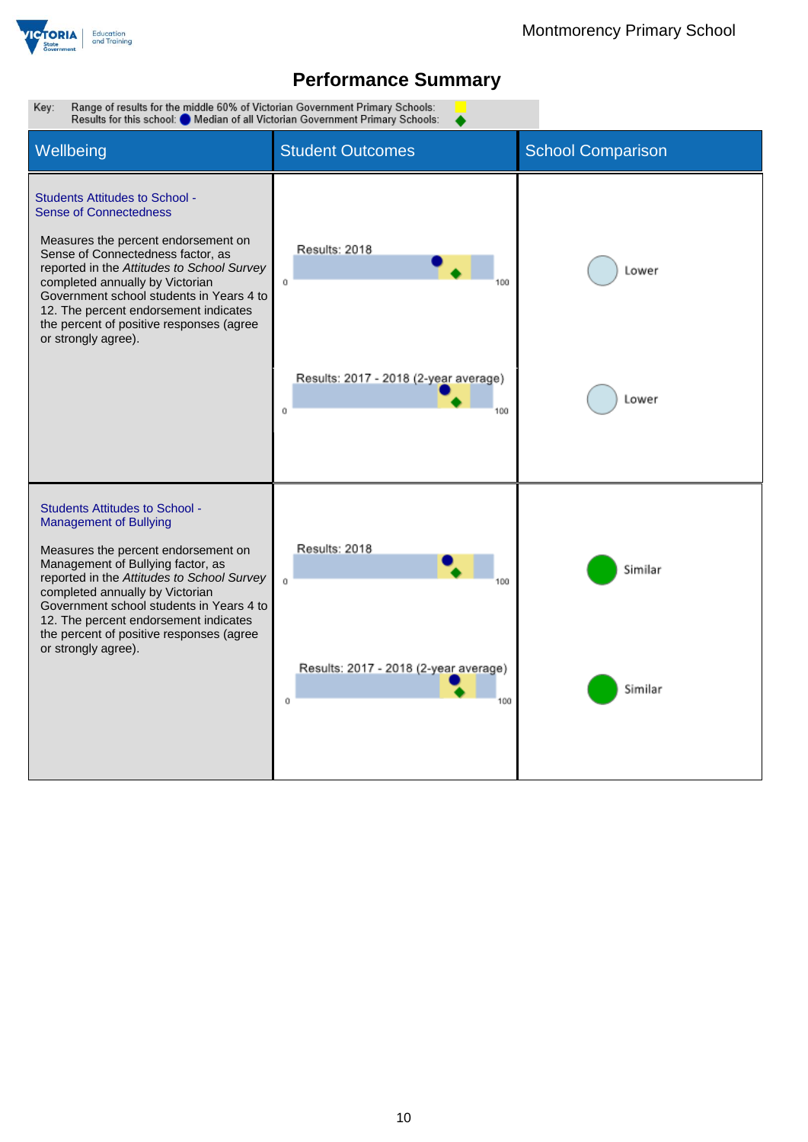

Key: Range of results for the middle 60% of Victorian Government Primary Schools: Results for this school: Median of all Victorian Government Primary Schools: Wellbeing **Student Outcomes** School Comparison Students Attitudes to School - Sense of Connectedness Measures the percent endorsement on Results: 2018 Sense of Connectedness factor, as reported in the *Attitudes to School Survey* Lower completed annually by Victorian  $\mathfrak{o}$ 100 Government school students in Years 4 to 12. The percent endorsement indicates the percent of positive responses (agree or strongly agree). Results: 2017 - 2018 (2-year average) Lower  $\mathbf{o}$ 100 Students Attitudes to School - Management of Bullying Results: 2018 Measures the percent endorsement on Management of Bullying factor, as Similar reported in the *Attitudes to School Survey*  $\alpha$ 100 completed annually by Victorian Government school students in Years 4 to 12. The percent endorsement indicates the percent of positive responses (agree or strongly agree).Results: 2017 - 2018 (2-year average) Similar  $\alpha$ 100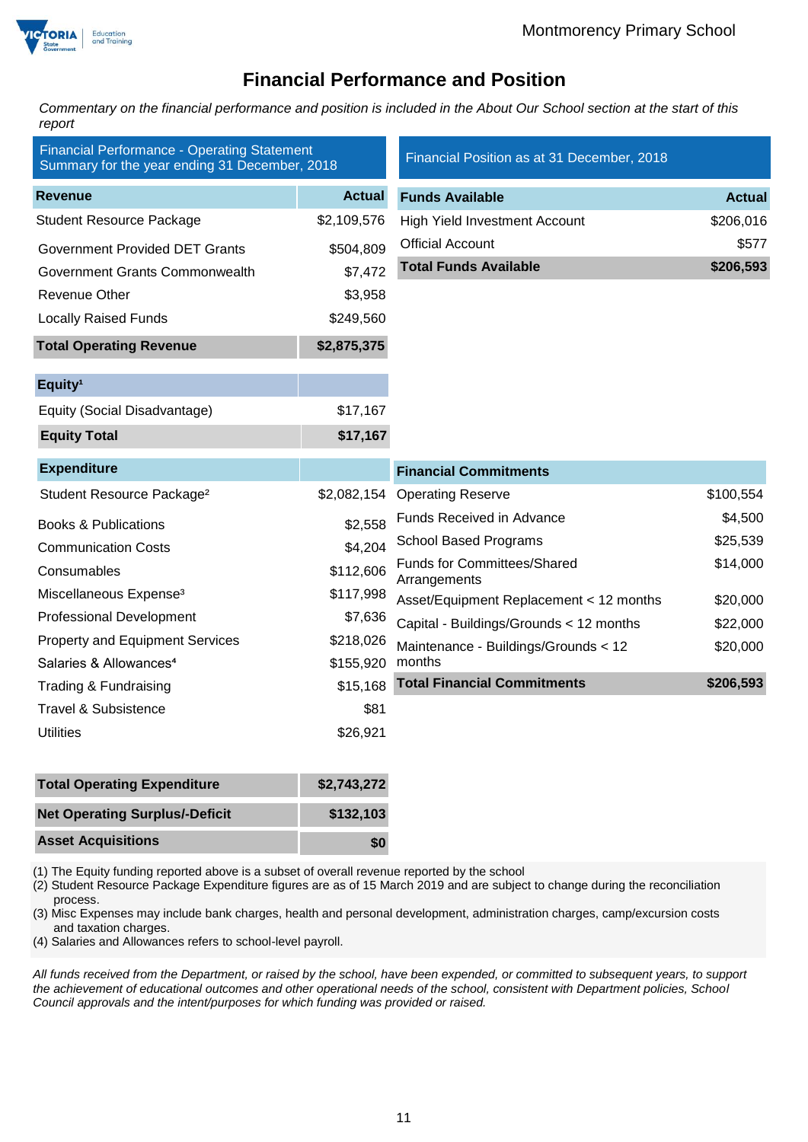



### **Financial Performance and Position**

*Commentary on the financial performance and position is included in the About Our School section at the start of this report*

| <b>Financial Performance - Operating Statement</b><br>Summary for the year ending 31 December, 2018 |               | Financial Position as at 31 December, 2018         |               |  |
|-----------------------------------------------------------------------------------------------------|---------------|----------------------------------------------------|---------------|--|
| <b>Revenue</b>                                                                                      | <b>Actual</b> | <b>Funds Available</b>                             | <b>Actual</b> |  |
| <b>Student Resource Package</b>                                                                     | \$2,109,576   | <b>High Yield Investment Account</b>               | \$206,016     |  |
| <b>Government Provided DET Grants</b>                                                               | \$504,809     | <b>Official Account</b>                            | \$577         |  |
| Government Grants Commonwealth                                                                      | \$7,472       | <b>Total Funds Available</b>                       | \$206,593     |  |
| <b>Revenue Other</b>                                                                                | \$3,958       |                                                    |               |  |
| <b>Locally Raised Funds</b>                                                                         | \$249,560     |                                                    |               |  |
| <b>Total Operating Revenue</b>                                                                      | \$2,875,375   |                                                    |               |  |
| Equity <sup>1</sup>                                                                                 |               |                                                    |               |  |
| Equity (Social Disadvantage)                                                                        | \$17,167      |                                                    |               |  |
| <b>Equity Total</b>                                                                                 | \$17,167      |                                                    |               |  |
| <b>Expenditure</b>                                                                                  |               | <b>Financial Commitments</b>                       |               |  |
| Student Resource Package <sup>2</sup>                                                               | \$2,082,154   | <b>Operating Reserve</b>                           | \$100,554     |  |
| <b>Books &amp; Publications</b>                                                                     | \$2,558       | Funds Received in Advance                          | \$4,500       |  |
| <b>Communication Costs</b>                                                                          | \$4,204       | <b>School Based Programs</b>                       | \$25,539      |  |
| Consumables                                                                                         | \$112,606     | <b>Funds for Committees/Shared</b><br>Arrangements | \$14,000      |  |
| Miscellaneous Expense <sup>3</sup>                                                                  | \$117,998     | Asset/Equipment Replacement < 12 months            | \$20,000      |  |
| <b>Professional Development</b>                                                                     | \$7,636       | Capital - Buildings/Grounds < 12 months            | \$22,000      |  |
| <b>Property and Equipment Services</b>                                                              | \$218,026     | Maintenance - Buildings/Grounds < 12               | \$20,000      |  |
| Salaries & Allowances <sup>4</sup>                                                                  | \$155,920     | months                                             |               |  |
| Trading & Fundraising                                                                               | \$15,168      | <b>Total Financial Commitments</b>                 | \$206,593     |  |
| <b>Travel &amp; Subsistence</b>                                                                     | \$81          |                                                    |               |  |
| <b>Utilities</b>                                                                                    | \$26,921      |                                                    |               |  |
|                                                                                                     |               |                                                    |               |  |

| <b>Total Operating Expenditure</b>    | \$2,743,272 |
|---------------------------------------|-------------|
| <b>Net Operating Surplus/-Deficit</b> | \$132,103   |
| <b>Asset Acquisitions</b>             | \$0         |

(1) The Equity funding reported above is a subset of overall revenue reported by the school

(2) Student Resource Package Expenditure figures are as of 15 March 2019 and are subject to change during the reconciliation process.

(3) Misc Expenses may include bank charges, health and personal development, administration charges, camp/excursion costs and taxation charges.

(4) Salaries and Allowances refers to school-level payroll.

*All funds received from the Department, or raised by the school, have been expended, or committed to subsequent years, to support the achievement of educational outcomes and other operational needs of the school, consistent with Department policies, School Council approvals and the intent/purposes for which funding was provided or raised.*